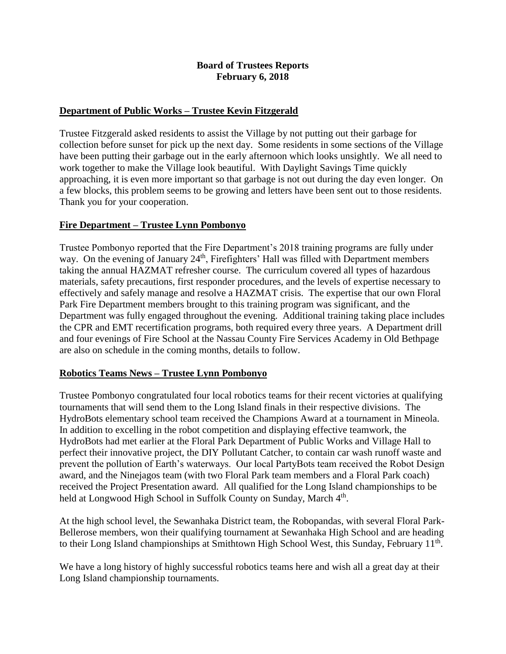#### **Board of Trustees Reports February 6, 2018**

#### **Department of Public Works – Trustee Kevin Fitzgerald**

Trustee Fitzgerald asked residents to assist the Village by not putting out their garbage for collection before sunset for pick up the next day. Some residents in some sections of the Village have been putting their garbage out in the early afternoon which looks unsightly. We all need to work together to make the Village look beautiful. With Daylight Savings Time quickly approaching, it is even more important so that garbage is not out during the day even longer. On a few blocks, this problem seems to be growing and letters have been sent out to those residents. Thank you for your cooperation.

#### **Fire Department – Trustee Lynn Pombonyo**

Trustee Pombonyo reported that the Fire Department's 2018 training programs are fully under way. On the evening of January  $24<sup>th</sup>$ , Firefighters' Hall was filled with Department members taking the annual HAZMAT refresher course. The curriculum covered all types of hazardous materials, safety precautions, first responder procedures, and the levels of expertise necessary to effectively and safely manage and resolve a HAZMAT crisis. The expertise that our own Floral Park Fire Department members brought to this training program was significant, and the Department was fully engaged throughout the evening. Additional training taking place includes the CPR and EMT recertification programs, both required every three years. A Department drill and four evenings of Fire School at the Nassau County Fire Services Academy in Old Bethpage are also on schedule in the coming months, details to follow.

#### **Robotics Teams News – Trustee Lynn Pombonyo**

Trustee Pombonyo congratulated four local robotics teams for their recent victories at qualifying tournaments that will send them to the Long Island finals in their respective divisions. The HydroBots elementary school team received the Champions Award at a tournament in Mineola. In addition to excelling in the robot competition and displaying effective teamwork, the HydroBots had met earlier at the Floral Park Department of Public Works and Village Hall to perfect their innovative project, the DIY Pollutant Catcher, to contain car wash runoff waste and prevent the pollution of Earth's waterways. Our local PartyBots team received the Robot Design award, and the Ninejagos team (with two Floral Park team members and a Floral Park coach) received the Project Presentation award. All qualified for the Long Island championships to be held at Longwood High School in Suffolk County on Sunday, March 4<sup>th</sup>.

At the high school level, the Sewanhaka District team, the Robopandas, with several Floral Park-Bellerose members, won their qualifying tournament at Sewanhaka High School and are heading to their Long Island championships at Smithtown High School West, this Sunday, February  $11<sup>th</sup>$ .

We have a long history of highly successful robotics teams here and wish all a great day at their Long Island championship tournaments.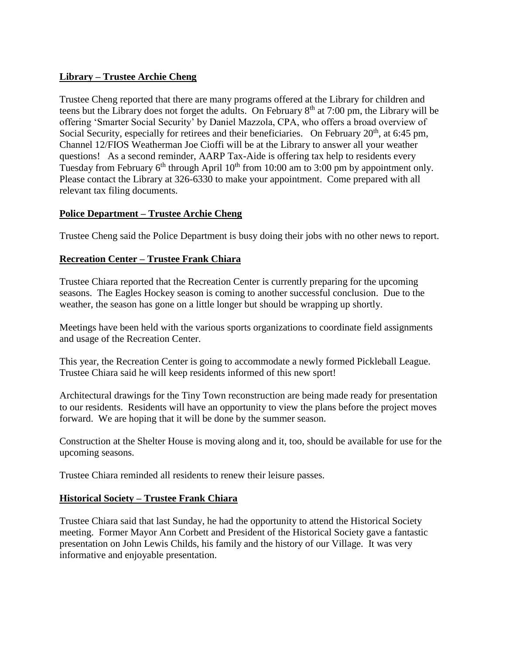## **Library – Trustee Archie Cheng**

Trustee Cheng reported that there are many programs offered at the Library for children and teens but the Library does not forget the adults. On February  $8<sup>th</sup>$  at 7:00 pm, the Library will be offering 'Smarter Social Security' by Daniel Mazzola, CPA, who offers a broad overview of Social Security, especially for retirees and their beneficiaries. On February  $20<sup>th</sup>$ , at 6:45 pm, Channel 12/FIOS Weatherman Joe Cioffi will be at the Library to answer all your weather questions! As a second reminder, AARP Tax-Aide is offering tax help to residents every Tuesday from February  $6<sup>th</sup>$  through April  $10<sup>th</sup>$  from 10:00 am to 3:00 pm by appointment only. Please contact the Library at 326-6330 to make your appointment. Come prepared with all relevant tax filing documents.

# **Police Department – Trustee Archie Cheng**

Trustee Cheng said the Police Department is busy doing their jobs with no other news to report.

## **Recreation Center – Trustee Frank Chiara**

Trustee Chiara reported that the Recreation Center is currently preparing for the upcoming seasons. The Eagles Hockey season is coming to another successful conclusion. Due to the weather, the season has gone on a little longer but should be wrapping up shortly.

Meetings have been held with the various sports organizations to coordinate field assignments and usage of the Recreation Center.

This year, the Recreation Center is going to accommodate a newly formed Pickleball League. Trustee Chiara said he will keep residents informed of this new sport!

Architectural drawings for the Tiny Town reconstruction are being made ready for presentation to our residents. Residents will have an opportunity to view the plans before the project moves forward. We are hoping that it will be done by the summer season.

Construction at the Shelter House is moving along and it, too, should be available for use for the upcoming seasons.

Trustee Chiara reminded all residents to renew their leisure passes.

## **Historical Society – Trustee Frank Chiara**

Trustee Chiara said that last Sunday, he had the opportunity to attend the Historical Society meeting. Former Mayor Ann Corbett and President of the Historical Society gave a fantastic presentation on John Lewis Childs, his family and the history of our Village. It was very informative and enjoyable presentation.